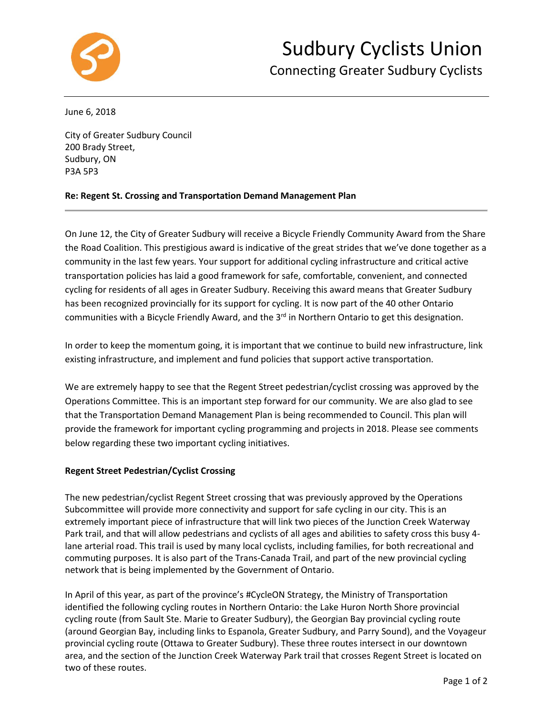

June 6, 2018

City of Greater Sudbury Council 200 Brady Street, Sudbury, ON P3A 5P3

## **Re: Regent St. Crossing and Transportation Demand Management Plan**

On June 12, the City of Greater Sudbury will receive a Bicycle Friendly Community Award from the Share the Road Coalition. This prestigious award is indicative of the great strides that we've done together as a community in the last few years. Your support for additional cycling infrastructure and critical active transportation policies has laid a good framework for safe, comfortable, convenient, and connected cycling for residents of all ages in Greater Sudbury. Receiving this award means that Greater Sudbury has been recognized provincially for its support for cycling. It is now part of the 40 other Ontario communities with a Bicycle Friendly Award, and the 3<sup>rd</sup> in Northern Ontario to get this designation.

In order to keep the momentum going, it is important that we continue to build new infrastructure, link existing infrastructure, and implement and fund policies that support active transportation.

We are extremely happy to see that the Regent Street pedestrian/cyclist crossing was approved by the Operations Committee. This is an important step forward for our community. We are also glad to see that the Transportation Demand Management Plan is being recommended to Council. This plan will provide the framework for important cycling programming and projects in 2018. Please see comments below regarding these two important cycling initiatives.

## **Regent Street Pedestrian/Cyclist Crossing**

The new pedestrian/cyclist Regent Street crossing that was previously approved by the Operations Subcommittee will provide more connectivity and support for safe cycling in our city. This is an extremely important piece of infrastructure that will link two pieces of the Junction Creek Waterway Park trail, and that will allow pedestrians and cyclists of all ages and abilities to safety cross this busy 4 lane arterial road. This trail is used by many local cyclists, including families, for both recreational and commuting purposes. It is also part of the Trans-Canada Trail, and part of the new provincial cycling network that is being implemented by the Government of Ontario.

In April of this year, as part of the province's #CycleON Strategy, the Ministry of Transportation identified the following cycling routes in Northern Ontario: the Lake Huron North Shore provincial cycling route (from Sault Ste. Marie to Greater Sudbury), the Georgian Bay provincial cycling route (around Georgian Bay, including links to Espanola, Greater Sudbury, and Parry Sound), and the Voyageur provincial cycling route (Ottawa to Greater Sudbury). These three routes intersect in our downtown area, and the section of the Junction Creek Waterway Park trail that crosses Regent Street is located on two of these routes.